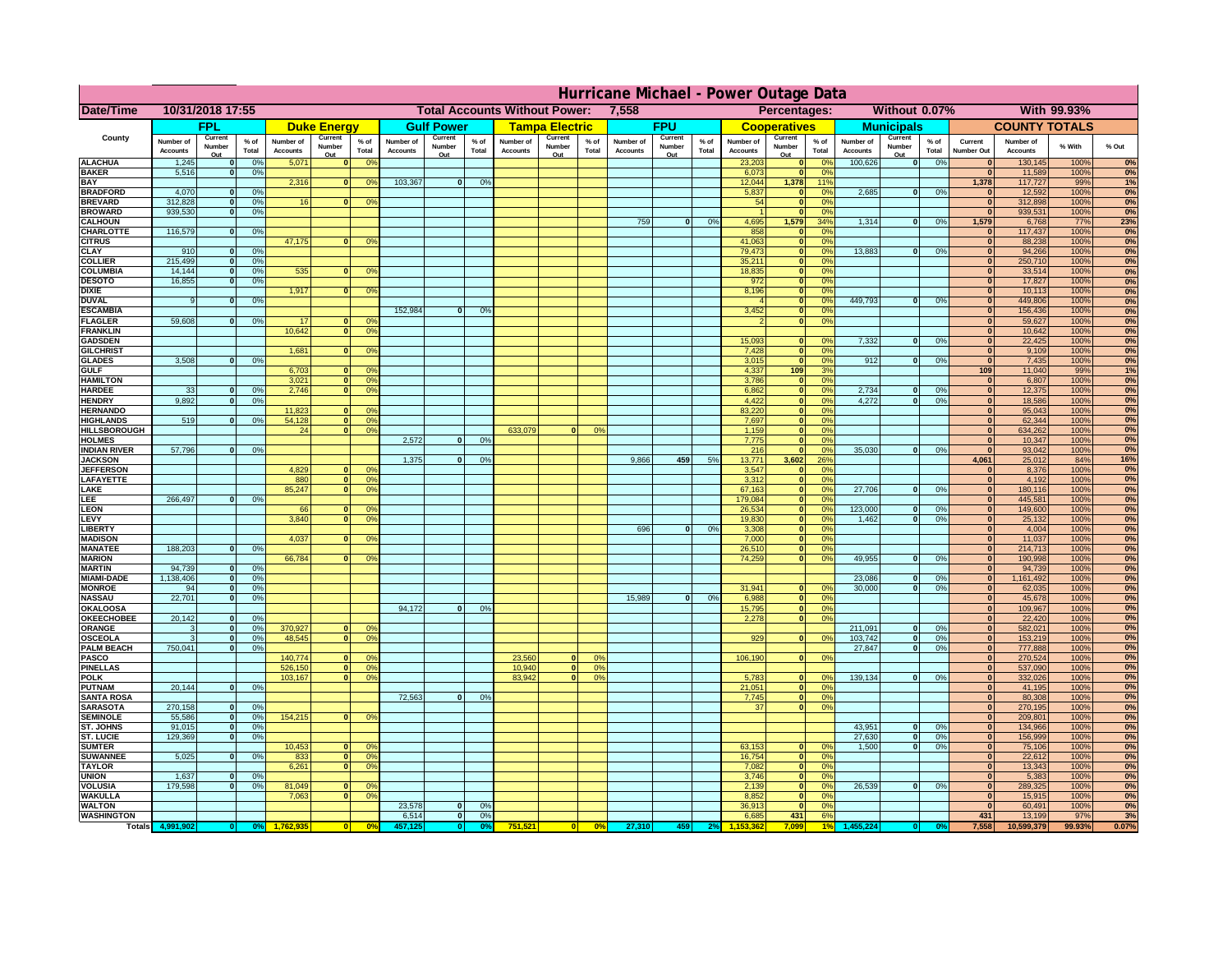|                                      | Hurricane Michael - Power Outage Data |                             |                 |                              |                          |                                               |                              |                          |                |                                              |                          |                  |                              |                          |                 |                              |                          |                 |                              |                          |                 |                              |                              |                    |           |
|--------------------------------------|---------------------------------------|-----------------------------|-----------------|------------------------------|--------------------------|-----------------------------------------------|------------------------------|--------------------------|----------------|----------------------------------------------|--------------------------|------------------|------------------------------|--------------------------|-----------------|------------------------------|--------------------------|-----------------|------------------------------|--------------------------|-----------------|------------------------------|------------------------------|--------------------|-----------|
| Date/Time                            | 10/31/2018 17:55                      |                             |                 |                              |                          | <b>Total Accounts Without Power:</b><br>7,558 |                              |                          |                | Without 0.07%<br>With 99.93%<br>Percentages: |                          |                  |                              |                          |                 |                              |                          |                 |                              |                          |                 |                              |                              |                    |           |
|                                      |                                       | FPL                         |                 |                              | <b>Duke Energy</b>       |                                               |                              | <b>Gulf Power</b>        |                |                                              | <b>Tampa Electric</b>    |                  |                              | <b>FPU</b>               |                 |                              | <b>Cooperatives</b>      |                 |                              | <b>Municipals</b>        |                 |                              | <b>COUNTY TOTALS</b>         |                    |           |
| County                               | Number of<br><b>Accounts</b>          | Current<br>Number<br>Out    | $%$ of<br>Total | Number of<br><b>Accounts</b> | Current<br>Number<br>Out | $%$ of<br>Total                               | Number of<br><b>Accounts</b> | Current<br>Number<br>Out | % of<br>Total  | Number of<br><b>Accounts</b>                 | Current<br>Number<br>Out | $%$ of<br>Total  | Number of<br><b>Accounts</b> | Current<br>Number<br>Out | $%$ of<br>Total | Number of<br><b>Accounts</b> | Current<br>Number<br>Out | $%$ of<br>Total | Number of<br><b>Accounts</b> | Current<br>Number<br>Out | $%$ of<br>Total | Current<br><b>Number Out</b> | Number of<br><b>Accounts</b> | % With             | % Out     |
| <b>ALACHUA</b>                       | 1,245                                 | $\mathbf{0}$                | 0%              | 5,071                        | $\mathbf{0}$             | 0 <sup>9</sup>                                |                              |                          |                |                                              |                          |                  |                              |                          |                 | 23,203                       | 0                        | 0 <sup>9</sup>  | 100,626                      | 0                        | 0%              | $\bf{0}$                     | 130,145                      | 100%               | 0%        |
| <b>BAKER</b>                         | 5,516                                 | 0                           | 0%              |                              |                          |                                               |                              |                          |                |                                              |                          |                  |                              |                          |                 | 6,073                        | 0                        | 0%              |                              |                          |                 | $\overline{0}$               | 11,589                       | 100%               | 0%        |
| <b>BAY</b><br><b>BRADFORD</b>        | 4,070                                 | $\mathbf{0}$                | 0%              | 2,316                        |                          | 0 <br>0 <sup>9</sup>                          | 103,367                      | 0                        | 0%             |                                              |                          |                  |                              |                          |                 | 12,044<br>5,837              | 1,378<br> 0              | 11%<br>0%       | 2,685                        | 0                        | 0%              | 1,378<br>$\bf{0}$            | 117,727<br>12,592            | 99%<br>100%        | 1%<br>0%  |
| <b>BREVARD</b>                       | 312,828                               | 0                           | 0%              | 16                           |                          | 0 <sup>o</sup><br> 0                          |                              |                          |                |                                              |                          |                  |                              |                          |                 | 54                           | 0                        | 0%              |                              |                          |                 | 0                            | 312,898                      | 100%               | 0%        |
| <b>BROWARD</b>                       | 939.530                               | 0                           | 0%              |                              |                          |                                               |                              |                          |                |                                              |                          |                  |                              |                          |                 |                              | 0                        | 0%              |                              |                          |                 | $\bf{0}$                     | 939,531                      | 100%               | 0%        |
| <b>CALHOUN</b><br>CHARLOTTE          | 116,579                               | 0                           | 0%              |                              |                          |                                               |                              |                          |                |                                              |                          |                  | 759                          | $\mathbf{0}$             | 0%              | 4,695<br>858                 | 1,579<br> 0              | 34%<br>0%       | 1,314                        | 0                        | 0%              | 1,579<br>$\bf{0}$            | 6,768<br>117,437             | <b>77%</b><br>100% | 23%<br>0% |
| <b>CITRUS</b>                        |                                       |                             |                 | 47,175                       | $\mathbf{0}$             | 0 <sup>o</sup>                                |                              |                          |                |                                              |                          |                  |                              |                          |                 | 41,063                       | 0                        | 0 <sup>9</sup>  |                              |                          |                 | $\bf{0}$                     | 88,238                       | 100%               | 0%        |
| <b>CLAY</b>                          | 910                                   | $\mathbf{0}$                | 0%              |                              |                          |                                               |                              |                          |                |                                              |                          |                  |                              |                          |                 | 79,473                       | 0                        | 0 <sup>9</sup>  | 13,883                       | $\mathbf{0}$             | 0%              | $\bf{0}$                     | 94,266                       | 100%               | 0%        |
| <b>COLLIER</b>                       | 215,499                               | $\mathbf{0}$                | 0 <sup>9</sup>  |                              |                          |                                               |                              |                          |                |                                              |                          |                  |                              |                          |                 | 35,211                       | 0                        | 0%              |                              |                          |                 | $\bf{0}$                     | 250,710                      | 100%               | 0%        |
| <b>COLUMBIA</b><br><b>DESOTO</b>     | 14,144<br>16,855                      | $\mathbf 0$<br>$\mathbf{0}$ | 0%<br>0%        | 535                          | $\mathbf{0}$             | 0 <sup>9</sup>                                |                              |                          |                |                                              |                          |                  |                              |                          |                 | 18,835<br>972                | 0 <br> 0                 | 0%<br>0%        |                              |                          |                 | $\bf{0}$<br>$\bf{0}$         | 33,514<br>17,827             | 100%<br>100%       | 0%<br>0%  |
| <b>DIXIE</b>                         |                                       |                             |                 | 1,917                        | $\mathbf{0}$             | 0 <sup>9</sup>                                |                              |                          |                |                                              |                          |                  |                              |                          |                 | 8,196                        | 0                        | 0%              |                              |                          |                 | $\Omega$                     | 10,113                       | 100%               | 0%        |
| <b>DUVAL</b>                         | 9                                     | $\Omega$                    | 0%              |                              |                          |                                               |                              |                          |                |                                              |                          |                  |                              |                          |                 |                              | 0                        | 0%              | 449.793                      | $\overline{\mathbf{0}}$  | 0%              | $\Omega$                     | 449,806                      | 100%               | 0%        |
| <b>ESCAMBIA</b>                      | 59,608                                |                             |                 | 17                           |                          |                                               | 152,984                      | $\mathbf{0}$             | 0 <sup>9</sup> |                                              |                          |                  |                              |                          |                 | 3,452                        | 0                        | 0%<br>0%        |                              |                          |                 | $\Omega$<br>$\bf{0}$         | 156,436                      | 100%               | 0%        |
| <b>FLAGLER</b><br><b>FRANKLIN</b>    |                                       | $\overline{0}$              | 0%              | 10,642                       | $\bf{0}$<br> 0           | 0 <sup>o</sup><br>0 <sup>9</sup>              |                              |                          |                |                                              |                          |                  |                              |                          |                 |                              | 0                        |                 |                              |                          |                 | $\overline{0}$               | 59,627<br>10,642             | 100%<br>100%       | 0%<br>0%  |
| <b>GADSDEN</b>                       |                                       |                             |                 |                              |                          |                                               |                              |                          |                |                                              |                          |                  |                              |                          |                 | 15,093                       | $\mathbf{0}$             | 0%              | 7,332                        | 0                        | 0%              | $\overline{0}$               | 22,425                       | 100%               | 0%        |
| <b>GILCHRIST</b>                     |                                       |                             |                 | 1,681                        | $\Omega$                 | 0 <sup>9</sup>                                |                              |                          |                |                                              |                          |                  |                              |                          |                 | 7,428                        | 0                        | 0%              |                              |                          |                 | 0                            | 9,109                        | 100%               | 0%        |
| <b>GLADES</b><br><b>GULF</b>         | 3,508                                 | 0                           | 0%              |                              |                          | $\mathbf{0}$<br>0 <sup>9</sup>                |                              |                          |                |                                              |                          |                  |                              |                          |                 | 3,015                        | 0 <br>109                | 0%<br>3%        | 912                          | $\overline{0}$           | 0%              | 0 <br>109                    | 7,435                        | 100%<br>99%        | 0%        |
| <b>HAMILTON</b>                      |                                       |                             |                 | 6,703<br>3,021               |                          | $\overline{0}$<br>0 <sup>9</sup>              |                              |                          |                |                                              |                          |                  |                              |                          |                 | 4,337<br>3,786               | 0                        | 0%              |                              |                          |                 | 0                            | 11,040<br>6,807              | 100%               | 1%<br>0%  |
| <b>HARDEE</b>                        | 33                                    | $\overline{0}$              | 0%              | 2.746                        |                          | 0 <br>0 <sup>9</sup>                          |                              |                          |                |                                              |                          |                  |                              |                          |                 | 6.862                        | 0                        | 0%              | 2.734                        | $\mathbf{0}$             | 0%              | 0                            | 12,375                       | 100%               | 0%        |
| <b>HENDRY</b>                        | 9,892                                 | $\Omega$                    | 0%              |                              |                          |                                               |                              |                          |                |                                              |                          |                  |                              |                          |                 | 4,422                        | 0                        | 0%              | 4,272                        | $\Omega$                 | 0%              | 0                            | 18,586                       | 100%               | 0%        |
| <b>HERNANDO</b><br><b>HIGHLANDS</b>  | 519                                   | $\mathbf{0}$                |                 | 11,823<br>54,128             | $\mathbf{0}$             | 0 <sup>9</sup><br> 0 <br>0 <sup>9</sup>       |                              |                          |                |                                              |                          |                  |                              |                          |                 | 83,220<br>7,697              | 0 <br> 0                 | 0%<br>0%        |                              |                          |                 | $\mathbf{0}$<br>$\mathbf{0}$ | 95,043<br>62,344             | 100%<br>100%       | 0%<br>0%  |
| <b>HILLSBOROUGH</b>                  |                                       |                             | 0 <sup>9</sup>  | 24                           |                          | $\overline{0}$<br>0 <sup>9</sup>              |                              |                          |                | 633,079                                      |                          | 0%               |                              |                          |                 | 1,159                        | 0                        | 0%              |                              |                          |                 | $\mathbf{0}$                 | 634,262                      | 100%               | 0%        |
| <b>HOLMES</b>                        |                                       |                             |                 |                              |                          |                                               | 2.572                        | $\mathbf{0}$             | 0%             |                                              |                          |                  |                              |                          |                 | 7,775                        | 0                        | 0%              |                              |                          |                 | $\mathbf{0}$                 | 10,347                       | 100%               | 0%        |
| <b>INDIAN RIVER</b>                  | 57,796                                | $\mathbf{0}$                | 0%              |                              |                          |                                               |                              |                          |                |                                              |                          |                  |                              |                          |                 | 216                          | 0                        | 0%              | 35,030                       | $\mathbf{0}$             | 0%              | $\mathbf{0}$                 | 93,042                       | 100%               | 0%        |
| <b>JACKSON</b><br><b>JEFFERSON</b>   |                                       |                             |                 | 4.829                        | n l                      | 0 <sup>9</sup>                                | 1.375                        | $\mathbf{0}$             | 0 <sup>9</sup> |                                              |                          |                  | 9.866                        | 459                      | 5%              | 13.771<br>3.547              | 3.602<br> 0              | 26%<br>0%       |                              |                          |                 | 4.061<br> 0                  | 25,012<br>8.376              | 84%<br>100%        | 16%<br>0% |
| LAFAYETTE                            |                                       |                             |                 | 880                          |                          | 0 <br>0 <sup>9</sup>                          |                              |                          |                |                                              |                          |                  |                              |                          |                 | 3.312                        | 0                        | 0%              |                              |                          |                 | 0                            | 4,192                        | 100%               | 0%        |
| LAKE                                 |                                       |                             |                 | 85,247                       |                          | $\mathbf{0}$<br>0 <sup>9</sup>                |                              |                          |                |                                              |                          |                  |                              |                          |                 | 67,163                       | 0                        | 0%              | 27,706                       | $\Omega$                 | 0%              | 0                            | 180,116                      | 100%               | 0%        |
| .EE                                  | 266,497                               | $\Omega$                    | 0%              |                              |                          |                                               |                              |                          |                |                                              |                          |                  |                              |                          |                 | 179,084                      | 0                        | 0%              |                              |                          |                 | 0                            | 445,581                      | 100%               | 0%        |
| LEON<br>LEVY                         |                                       |                             |                 | 66<br>3,840                  | $\mathbf{0}$<br>$\Omega$ | 0 <sup>o</sup><br>0 <sup>9</sup>              |                              |                          |                |                                              |                          |                  |                              |                          |                 | 26,534<br>19,830             | 0 <br> 0                 | 0%<br>0%        | 123,000<br>1,462             | $\mathbf{0}$<br>0        | 0%<br>0%        | 0 <br> 0                     | 149,600<br>25,132            | 100%<br>100%       | 0%<br>0%  |
| LIBERTY                              |                                       |                             |                 |                              |                          |                                               |                              |                          |                |                                              |                          |                  | 696                          | $\Omega$                 | 0%              | 3,308                        | 0                        | 0%              |                              |                          |                 | 0                            | 4,004                        | 100%               | 0%        |
| <b>MADISON</b>                       |                                       |                             |                 | 4,037                        | $\Omega$                 | 0 <sup>9</sup>                                |                              |                          |                |                                              |                          |                  |                              |                          |                 | 7,000                        | 0                        | 0%              |                              |                          |                 | 0                            | 11,037                       | 100%               | 0%        |
| <b>MANATEE</b>                       | 188,203                               | 0                           | 0%              |                              |                          |                                               |                              |                          |                |                                              |                          |                  |                              |                          |                 | 26,510                       | 0                        | 0%              |                              |                          |                 | 0                            | 214,713                      | 100%               | 0%        |
| <b>MARION</b><br><b>MARTIN</b>       | 94,739                                | 0                           | 0%              | 66,784                       | $\Omega$                 | 0 <sup>9</sup>                                |                              |                          |                |                                              |                          |                  |                              |                          |                 | 74,259                       | 0                        | 0%              | 49,955                       | $\Omega$                 | 0%              | 0 <br> 0                     | 190,998<br>94,739            | 100%<br>100%       | 0%<br>0%  |
| <b>MIAMI-DADE</b>                    | 1,138,406                             | 0                           | 0%              |                              |                          |                                               |                              |                          |                |                                              |                          |                  |                              |                          |                 |                              |                          |                 | 23,086                       | $\mathbf{0}$             | 0%              | 0                            | 1,161,492                    | 100%               | 0%        |
| <b>MONROE</b>                        | 94                                    | 0                           | 0%              |                              |                          |                                               |                              |                          |                |                                              |                          |                  |                              |                          |                 | 31,941                       | $\overline{0}$           | 0 <sup>9</sup>  | 30,000                       | 0                        | 0%              | 0                            | 62,035                       | 100%               | 0%        |
| <b>NASSAU</b>                        | 22,701                                | 0                           | 0%              |                              |                          |                                               |                              |                          |                |                                              |                          |                  | 15,989                       | 0                        | 0%              | 6,988                        | 0                        | 0%              |                              |                          |                 | 0                            | 45,678                       | 100%               | 0%        |
| <b>OKALOOSA</b><br><b>OKEECHOBEE</b> | 20,142                                | 0                           | 0%              |                              |                          |                                               | 94,172                       | $\mathbf{0}$             | 0%             |                                              |                          |                  |                              |                          |                 | 15,795<br>2,278              | 0                        | 0%<br>0%<br> 0  |                              |                          |                 | 0 <br> 0                     | 109,967<br>22,420            | 100%<br>100%       | 0%<br>0%  |
| ORANGE                               | 3                                     | 0                           | 0%              | 370,927                      |                          | 0 <br>0 <sup>o</sup>                          |                              |                          |                |                                              |                          |                  |                              |                          |                 |                              |                          |                 | 211,091                      | $\overline{\mathbf{0}}$  | 0%              | 0                            | 582,021                      | 100%               | 0%        |
| <b>OSCEOLA</b>                       | 3                                     | 0                           | 0%              | 48,545                       |                          | 0 <sup>9</sup><br> 0                          |                              |                          |                |                                              |                          |                  |                              |                          |                 | 929                          |                          | 0 <br>0%        | 103,742                      | 0                        | 0%              | 0                            | 153,219                      | 100%               | 0%        |
| <b>PALM BEACH</b>                    | 750,041                               |                             | 0 <br>0%        |                              |                          |                                               |                              |                          |                |                                              |                          |                  |                              |                          |                 |                              |                          |                 | 27,847                       | $\overline{\mathbf{0}}$  | 0%              | 0                            | 777,888                      | 100%               | 0%        |
| PASCO<br><b>PINELLAS</b>             |                                       |                             |                 | 140,774<br>526,150           | $\Omega$                 | 0 <sup>9</sup><br>0 <sup>9</sup><br> 0        |                              |                          |                | 23,560<br>10,940                             | $\Omega$<br> 0           | $^{\circ}$<br>0% |                              |                          |                 | 106,190                      |                          | 0 <br>0%        |                              |                          |                 | 0 <br>$\mathbf{0}$           | 270,524<br>537,090           | 100%<br>100%       | 0%<br>0%  |
| <b>POLK</b>                          |                                       |                             |                 | 103,167                      |                          | 0 <sup>9</sup><br> 0                          |                              |                          |                | 83,942                                       | $\mathbf{a}$             | 0%               |                              |                          |                 | 5,783                        | 0                        | $\Omega$        | 139,134                      | 0                        | 0%              | 0                            | 332,026                      | 100%               | 0%        |
| <b>PUTNAM</b>                        | 20,144                                | 0                           | 0%              |                              |                          |                                               |                              |                          |                |                                              |                          |                  |                              |                          |                 | 21,051                       | $\ddot{\textbf{0}}$      | 0%              |                              |                          |                 | $\bf{0}$                     | 41,195                       | 100%               | 0%        |
| <b>SANTA ROSA</b>                    |                                       |                             |                 |                              |                          |                                               | 72,563                       | 0                        | 0%             |                                              |                          |                  |                              |                          |                 | 7,745                        | 0                        | 0%              |                              |                          |                 | $\mathbf{0}$                 | 80,308                       | 100%               | 0%        |
| <b>SARASOTA</b><br><b>SEMINOLE</b>   | 270,158<br>55,586                     | 0 <br> 0                    | 0%<br>0%        | 154,215                      |                          | $\mathbf{0}$<br>0 <sup>9</sup>                |                              |                          |                |                                              |                          |                  |                              |                          |                 | 37                           |                          | 0 <br>0%        |                              |                          |                 | 0 <br> 0                     | 270,195<br>209,801           | 100%<br>100%       | 0%<br>0%  |
| ST. JOHNS                            | 91,015                                | 0                           | 0%              |                              |                          |                                               |                              |                          |                |                                              |                          |                  |                              |                          |                 |                              |                          |                 | 43,951                       | -ol                      | 0%              | 0                            | 134,966                      | 100%               | 0%        |
| <b>ST. LUCIE</b>                     | 129.369                               | $\overline{0}$              | 0%              |                              |                          |                                               |                              |                          |                |                                              |                          |                  |                              |                          |                 |                              |                          |                 | 27.630                       | - O I                    | 0%              | 0                            | 156,999                      | 100%               | 0%        |
| <b>SUMTER</b>                        |                                       |                             |                 | 10,453                       |                          | 0 <br>0 <sup>9</sup>                          |                              |                          |                |                                              |                          |                  |                              |                          |                 | 63,153                       | 0                        | 0%              | 1.500                        | 0                        | 0%              | 0                            | 75,106                       | 100%               | 0%        |
| <b>SUWANNEE</b><br><b>TAYLOR</b>     | 5,025                                 | 0                           | 0%              | 833<br>6,261                 | 0 <br> 0                 | 0 <sup>o</sup><br>0 <sup>9</sup>              |                              |                          |                |                                              |                          |                  |                              |                          |                 | 16,754<br>7,082              | 0 <br> 0                 | 0%<br>0%        |                              |                          |                 | $\mathbf{0}$<br>$\bf{0}$     | 22,612<br>13,343             | 100%<br>100%       | 0%<br>0%  |
| <b>UNION</b>                         | 1,637                                 | $\mathbf{0}$                | 0%              |                              |                          |                                               |                              |                          |                |                                              |                          |                  |                              |                          |                 | 3,746                        | 0                        | 0%              |                              |                          |                 | $\bf{0}$                     | 5,383                        | 100%               | 0%        |
| <b>VOLUSIA</b>                       | 179,598                               | 0                           | 0%              | 81,049                       | $\mathbf{0}$             | $\mathbf{0}$                                  |                              |                          |                |                                              |                          |                  |                              |                          |                 | 2,139                        | 0                        | 0%              | 26,539                       | 0                        | 0%              | $\bf{0}$                     | 289,325                      | 100%               | 0%        |
| <b>WAKULLA</b><br><b>WALTON</b>      |                                       |                             |                 | 7,063                        | $\mathbf{0}$             | 0 <sup>9</sup>                                | 23,578                       | $\mathbf{0}$             | 0%             |                                              |                          |                  |                              |                          |                 | 8,852<br>36,913              | 0 <br> 0                 | 0%<br>0%        |                              |                          |                 | $\mathbf{0}$<br> 0           | 15,915<br>60,491             | 100%<br>100%       | 0%<br>0%  |
| <b>WASHINGTON</b>                    |                                       |                             |                 |                              |                          |                                               | 6,514                        | 0                        | 0%             |                                              |                          |                  |                              |                          |                 | 6,685                        | 431                      | 6%              |                              |                          |                 | 431                          | 13,199                       | 97%                | 3%        |
| <b>Totals</b>                        |                                       |                             |                 |                              |                          | 0 <sup>6</sup>                                |                              | $\bullet$                |                | 751,521                                      | 0                        | 0%               | 27,310                       | 459                      |                 |                              | 7,099                    | 1 <sup>°</sup>  |                              |                          |                 | 7,558                        | 10,599,379                   | 99.93%             | 0.07%     |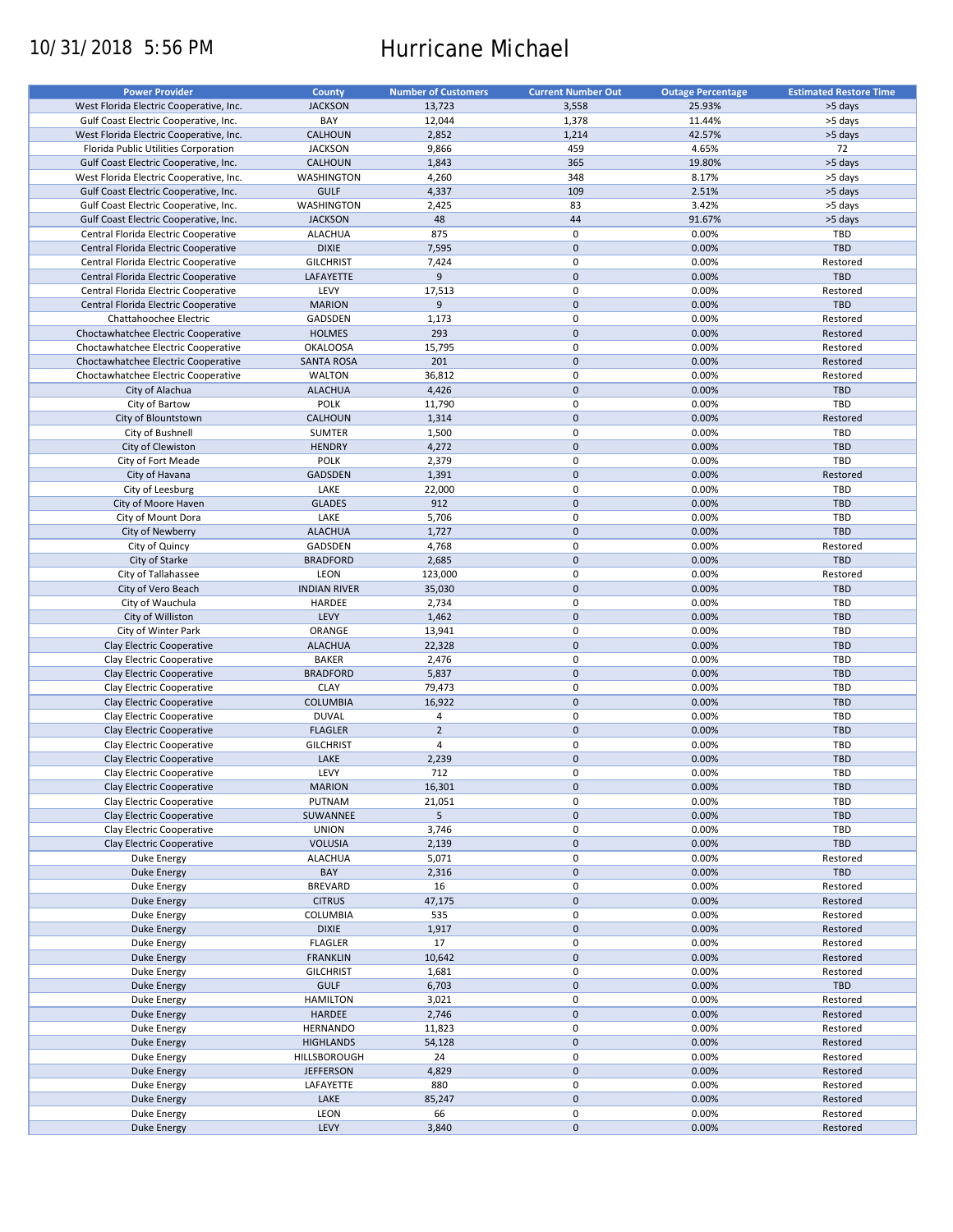# 10/31/2018 5:56 PM Hurricane Michael

| <b>Power Provider</b>                   | <b>County</b>       | <b>Number of Customers</b> | <b>Current Number Out</b> | <b>Outage Percentage</b> | <b>Estimated Restore Time</b> |
|-----------------------------------------|---------------------|----------------------------|---------------------------|--------------------------|-------------------------------|
| West Florida Electric Cooperative, Inc. | <b>JACKSON</b>      | 13,723                     | 3,558                     | 25.93%                   | >5 days                       |
| Gulf Coast Electric Cooperative, Inc.   | BAY                 | 12,044                     | 1,378                     | 11.44%                   | >5 days                       |
| West Florida Electric Cooperative, Inc. | CALHOUN             | 2,852                      | 1,214                     | 42.57%                   | >5 days                       |
| Florida Public Utilities Corporation    | <b>JACKSON</b>      | 9,866                      | 459                       | 4.65%                    | 72                            |
| Gulf Coast Electric Cooperative, Inc.   | <b>CALHOUN</b>      | 1,843                      | 365                       | 19.80%                   | >5 days                       |
| West Florida Electric Cooperative, Inc. | <b>WASHINGTON</b>   | 4,260                      | 348                       | 8.17%                    | >5 days                       |
| Gulf Coast Electric Cooperative, Inc.   | <b>GULF</b>         | 4,337                      | 109                       | 2.51%                    | >5 days                       |
| Gulf Coast Electric Cooperative, Inc.   | WASHINGTON          | 2,425                      | 83                        | 3.42%                    | >5 days                       |
|                                         |                     |                            | 44                        |                          |                               |
| Gulf Coast Electric Cooperative, Inc.   | <b>JACKSON</b>      | 48                         |                           | 91.67%                   | >5 days                       |
| Central Florida Electric Cooperative    | <b>ALACHUA</b>      | 875                        | 0                         | 0.00%                    | TBD                           |
| Central Florida Electric Cooperative    | <b>DIXIE</b>        | 7,595                      | $\mathbf 0$               | 0.00%                    | <b>TBD</b>                    |
| Central Florida Electric Cooperative    | <b>GILCHRIST</b>    | 7,424                      | 0                         | 0.00%                    | Restored                      |
| Central Florida Electric Cooperative    | LAFAYETTE           | 9                          | $\mathbf 0$               | 0.00%                    | <b>TBD</b>                    |
| Central Florida Electric Cooperative    | LEVY                | 17,513                     | 0                         | 0.00%                    | Restored                      |
| Central Florida Electric Cooperative    | <b>MARION</b>       | 9                          | $\mathbf 0$               | 0.00%                    | <b>TBD</b>                    |
| Chattahoochee Electric                  | GADSDEN             | 1,173                      | 0                         | 0.00%                    | Restored                      |
| Choctawhatchee Electric Cooperative     | <b>HOLMES</b>       | 293                        | $\mathbf 0$               | 0.00%                    | Restored                      |
| Choctawhatchee Electric Cooperative     | <b>OKALOOSA</b>     | 15,795                     | 0                         | 0.00%                    | Restored                      |
| Choctawhatchee Electric Cooperative     | <b>SANTA ROSA</b>   | 201                        | $\mathbf 0$               | 0.00%                    | Restored                      |
| Choctawhatchee Electric Cooperative     | <b>WALTON</b>       | 36,812                     | 0                         | 0.00%                    | Restored                      |
| City of Alachua                         | <b>ALACHUA</b>      | 4,426                      | $\mathbf 0$               | 0.00%                    | <b>TBD</b>                    |
| City of Bartow                          | POLK                | 11,790                     | 0                         | 0.00%                    | TBD                           |
| City of Blountstown                     | CALHOUN             | 1,314                      | $\mathbf 0$               | 0.00%                    | Restored                      |
| City of Bushnell                        | <b>SUMTER</b>       | 1,500                      | $\mathbf 0$               | 0.00%                    | TBD                           |
| City of Clewiston                       | <b>HENDRY</b>       | 4,272                      | $\mathbf 0$               | 0.00%                    | <b>TBD</b>                    |
| City of Fort Meade                      | <b>POLK</b>         | 2,379                      | 0                         | 0.00%                    | TBD                           |
| City of Havana                          | <b>GADSDEN</b>      | 1,391                      | $\mathbf 0$               | 0.00%                    | Restored                      |
| City of Leesburg                        | LAKE                | 22,000                     | 0                         | 0.00%                    | TBD                           |
| City of Moore Haven                     | <b>GLADES</b>       | 912                        | $\pmb{0}$                 | 0.00%                    | <b>TBD</b>                    |
|                                         | LAKE                |                            | 0                         | 0.00%                    | <b>TBD</b>                    |
| City of Mount Dora                      |                     | 5,706                      |                           |                          |                               |
| City of Newberry                        | <b>ALACHUA</b>      | 1,727                      | $\pmb{0}$                 | 0.00%                    | <b>TBD</b>                    |
| City of Quincy                          | GADSDEN             | 4,768                      | 0                         | 0.00%                    | Restored                      |
| City of Starke                          | <b>BRADFORD</b>     | 2,685                      | $\mathbf 0$               | 0.00%                    | <b>TBD</b>                    |
| City of Tallahassee                     | LEON                | 123,000                    | 0                         | 0.00%                    | Restored                      |
| City of Vero Beach                      | <b>INDIAN RIVER</b> | 35,030                     | $\mathbf 0$               | 0.00%                    | <b>TBD</b>                    |
| City of Wauchula                        | HARDEE              | 2,734                      | 0                         | 0.00%                    | TBD                           |
| City of Williston                       | LEVY                | 1,462                      | $\mathbf 0$               | 0.00%                    | <b>TBD</b>                    |
| City of Winter Park                     | ORANGE              | 13,941                     | $\pmb{0}$                 | 0.00%                    | TBD                           |
| Clay Electric Cooperative               | <b>ALACHUA</b>      | 22,328                     | $\pmb{0}$                 | 0.00%                    | <b>TBD</b>                    |
| Clay Electric Cooperative               | <b>BAKER</b>        | 2,476                      | 0                         | 0.00%                    | TBD                           |
| Clay Electric Cooperative               | <b>BRADFORD</b>     | 5,837                      | $\mathbf 0$               | 0.00%                    | <b>TBD</b>                    |
| Clay Electric Cooperative               | <b>CLAY</b>         | 79,473                     | $\pmb{0}$                 | 0.00%                    | TBD                           |
| Clay Electric Cooperative               | <b>COLUMBIA</b>     | 16,922                     | $\mathbf 0$               | 0.00%                    | <b>TBD</b>                    |
| Clay Electric Cooperative               | <b>DUVAL</b>        | 4                          | 0                         | 0.00%                    | TBD                           |
| Clay Electric Cooperative               | <b>FLAGLER</b>      | $\overline{2}$             | $\mathbf 0$               | 0.00%                    | <b>TBD</b>                    |
| Clay Electric Cooperative               | <b>GILCHRIST</b>    | 4                          | $\pmb{0}$                 | 0.00%                    | TBD                           |
| Clay Electric Cooperative               | LAKE                | 2,239                      | $\mathbf 0$               | 0.00%                    | <b>TBD</b>                    |
| Clay Electric Cooperative               | LEVY                | 712                        | $\mathbf 0$               | 0.00%                    | TBD                           |
| Clay Electric Cooperative               | <b>MARION</b>       |                            | $\mathsf{O}\xspace$       | 0.00%                    | TBD                           |
|                                         |                     | 16,301                     |                           |                          |                               |
| Clay Electric Cooperative               | PUTNAM              | 21,051                     | 0                         | 0.00%                    | TBD                           |
| Clay Electric Cooperative               | SUWANNEE            | 5                          | $\pmb{0}$                 | 0.00%                    | <b>TBD</b>                    |
| Clay Electric Cooperative               | <b>UNION</b>        | 3,746                      | 0                         | 0.00%                    | TBD                           |
| Clay Electric Cooperative               | <b>VOLUSIA</b>      | 2,139                      | $\pmb{0}$                 | 0.00%                    | <b>TBD</b>                    |
| Duke Energy                             | <b>ALACHUA</b>      | 5,071                      | 0                         | 0.00%                    | Restored                      |
| Duke Energy                             | BAY                 | 2,316                      | $\pmb{0}$                 | 0.00%                    | <b>TBD</b>                    |
| Duke Energy                             | <b>BREVARD</b>      | 16                         | 0                         | 0.00%                    | Restored                      |
| Duke Energy                             | <b>CITRUS</b>       | 47,175                     | $\pmb{0}$                 | 0.00%                    | Restored                      |
| Duke Energy                             | COLUMBIA            | 535                        | $\pmb{0}$                 | 0.00%                    | Restored                      |
| Duke Energy                             | <b>DIXIE</b>        | 1,917                      | $\pmb{0}$                 | 0.00%                    | Restored                      |
| Duke Energy                             | <b>FLAGLER</b>      | 17                         | 0                         | 0.00%                    | Restored                      |
| Duke Energy                             | <b>FRANKLIN</b>     | 10,642                     | $\mathsf{O}\xspace$       | 0.00%                    | Restored                      |
| Duke Energy                             | <b>GILCHRIST</b>    | 1,681                      | 0                         | 0.00%                    | Restored                      |
| Duke Energy                             | <b>GULF</b>         | 6,703                      | $\pmb{0}$                 | 0.00%                    | TBD                           |
| Duke Energy                             | <b>HAMILTON</b>     | 3,021                      | 0                         | 0.00%                    | Restored                      |
| <b>Duke Energy</b>                      | HARDEE              | 2,746                      | $\pmb{0}$                 | 0.00%                    | Restored                      |
| Duke Energy                             | <b>HERNANDO</b>     | 11,823                     | 0                         | 0.00%                    | Restored                      |
| <b>Duke Energy</b>                      | <b>HIGHLANDS</b>    | 54,128                     | $\pmb{0}$                 | 0.00%                    | Restored                      |
|                                         |                     |                            |                           |                          |                               |
| Duke Energy                             | HILLSBOROUGH        | 24                         | $\pmb{0}$                 | 0.00%                    | Restored                      |
| <b>Duke Energy</b>                      | <b>JEFFERSON</b>    | 4,829                      | $\pmb{0}$                 | 0.00%                    | Restored                      |
| Duke Energy                             | LAFAYETTE           | 880                        | $\pmb{0}$                 | 0.00%                    | Restored                      |
| <b>Duke Energy</b>                      | LAKE                | 85,247                     | $\pmb{0}$                 | 0.00%                    | Restored                      |
| Duke Energy                             | LEON                | 66                         | $\pmb{0}$                 | 0.00%                    | Restored                      |
| <b>Duke Energy</b>                      | LEVY                | 3,840                      | $\pmb{0}$                 | 0.00%                    | Restored                      |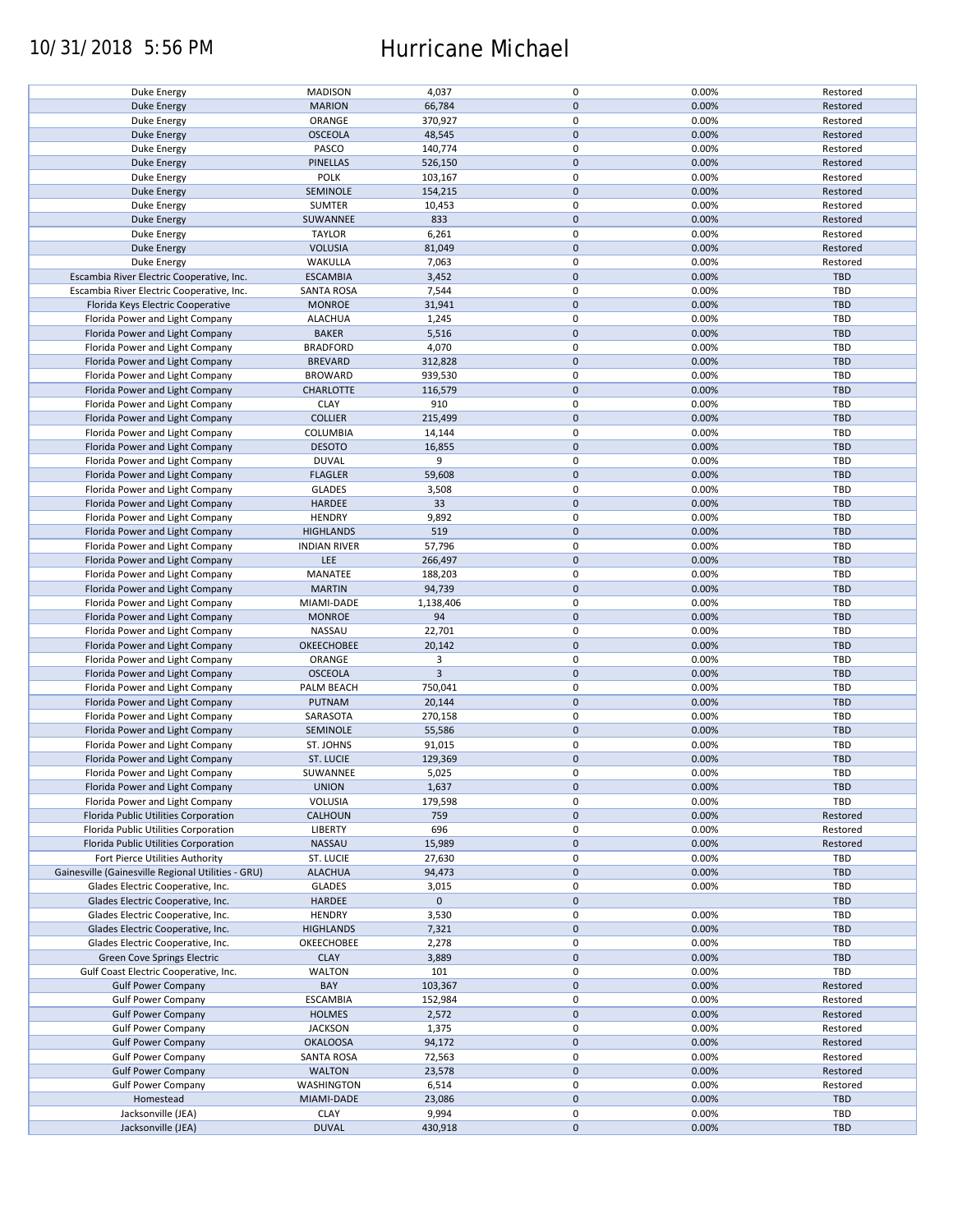## 10/31/2018 5:56 PM Hurricane Michael

| Duke Energy                                        | <b>MADISON</b>      | 4,037          | 0           | 0.00% | Restored   |
|----------------------------------------------------|---------------------|----------------|-------------|-------|------------|
| <b>Duke Energy</b>                                 | <b>MARION</b>       | 66,784         | $\mathbf 0$ | 0.00% | Restored   |
|                                                    |                     |                |             |       |            |
| Duke Energy                                        | ORANGE              | 370,927        | 0           | 0.00% | Restored   |
| Duke Energy                                        | <b>OSCEOLA</b>      | 48,545         | $\mathbf 0$ | 0.00% | Restored   |
| Duke Energy                                        | PASCO               | 140,774        | 0           | 0.00% | Restored   |
|                                                    |                     |                |             |       |            |
| <b>Duke Energy</b>                                 | <b>PINELLAS</b>     | 526,150        | $\mathbf 0$ | 0.00% | Restored   |
| Duke Energy                                        | POLK                | 103,167        | $\mathbf 0$ | 0.00% | Restored   |
|                                                    |                     |                | $\mathbf 0$ |       |            |
| Duke Energy                                        | SEMINOLE            | 154,215        |             | 0.00% | Restored   |
| Duke Energy                                        | <b>SUMTER</b>       | 10,453         | 0           | 0.00% | Restored   |
| <b>Duke Energy</b>                                 | SUWANNEE            | 833            | $\mathbf 0$ | 0.00% | Restored   |
|                                                    |                     |                |             |       |            |
| Duke Energy                                        | <b>TAYLOR</b>       | 6,261          | 0           | 0.00% | Restored   |
| <b>Duke Energy</b>                                 | <b>VOLUSIA</b>      | 81,049         | $\mathbf 0$ | 0.00% | Restored   |
| Duke Energy                                        | WAKULLA             | 7,063          | 0           | 0.00% | Restored   |
|                                                    |                     |                |             |       |            |
| Escambia River Electric Cooperative, Inc.          | <b>ESCAMBIA</b>     | 3,452          | $\mathbf 0$ | 0.00% | <b>TBD</b> |
| Escambia River Electric Cooperative, Inc.          | <b>SANTA ROSA</b>   | 7,544          | $\mathbf 0$ | 0.00% | <b>TBD</b> |
| Florida Keys Electric Cooperative                  | <b>MONROE</b>       | 31,941         | $\mathbf 0$ | 0.00% | <b>TBD</b> |
|                                                    |                     |                |             |       |            |
| Florida Power and Light Company                    | <b>ALACHUA</b>      | 1,245          | 0           | 0.00% | <b>TBD</b> |
| Florida Power and Light Company                    | <b>BAKER</b>        | 5,516          | $\mathbf 0$ | 0.00% | <b>TBD</b> |
|                                                    |                     |                |             |       |            |
| Florida Power and Light Company                    | <b>BRADFORD</b>     | 4,070          | $\pmb{0}$   | 0.00% | <b>TBD</b> |
| Florida Power and Light Company                    | <b>BREVARD</b>      | 312,828        | $\mathbf 0$ | 0.00% | <b>TBD</b> |
| Florida Power and Light Company                    | <b>BROWARD</b>      | 939,530        | $\pmb{0}$   | 0.00% | <b>TBD</b> |
|                                                    |                     |                |             |       |            |
| Florida Power and Light Company                    | CHARLOTTE           | 116,579        | $\mathbf 0$ | 0.00% | <b>TBD</b> |
| Florida Power and Light Company                    | <b>CLAY</b>         | 910            | $\mathbf 0$ | 0.00% | <b>TBD</b> |
|                                                    |                     |                | $\mathbf 0$ |       |            |
| Florida Power and Light Company                    | <b>COLLIER</b>      | 215,499        |             | 0.00% | <b>TBD</b> |
| Florida Power and Light Company                    | <b>COLUMBIA</b>     | 14,144         | 0           | 0.00% | <b>TBD</b> |
| Florida Power and Light Company                    | <b>DESOTO</b>       | 16,855         | $\mathbf 0$ | 0.00% | <b>TBD</b> |
|                                                    |                     |                |             |       |            |
| Florida Power and Light Company                    | <b>DUVAL</b>        | 9              | 0           | 0.00% | <b>TBD</b> |
| Florida Power and Light Company                    | <b>FLAGLER</b>      | 59,608         | $\mathbf 0$ | 0.00% | <b>TBD</b> |
| Florida Power and Light Company                    | <b>GLADES</b>       | 3,508          | 0           | 0.00% | <b>TBD</b> |
|                                                    |                     |                |             |       |            |
| Florida Power and Light Company                    | <b>HARDEE</b>       | 33             | $\mathbf 0$ | 0.00% | <b>TBD</b> |
| Florida Power and Light Company                    | <b>HENDRY</b>       | 9,892          | $\mathbf 0$ | 0.00% | TBD        |
| Florida Power and Light Company                    | <b>HIGHLANDS</b>    | 519            | $\mathbf 0$ | 0.00% | <b>TBD</b> |
|                                                    |                     |                |             |       |            |
| Florida Power and Light Company                    | <b>INDIAN RIVER</b> | 57,796         | 0           | 0.00% | <b>TBD</b> |
| Florida Power and Light Company                    | <b>LEE</b>          | 266,497        | $\mathbf 0$ | 0.00% | <b>TBD</b> |
|                                                    |                     |                |             |       |            |
| Florida Power and Light Company                    | MANATEE             | 188,203        | 0           | 0.00% | TBD        |
| Florida Power and Light Company                    | <b>MARTIN</b>       | 94,739         | $\mathbf 0$ | 0.00% | <b>TBD</b> |
| Florida Power and Light Company                    | MIAMI-DADE          | 1,138,406      | $\pmb{0}$   | 0.00% | <b>TBD</b> |
|                                                    |                     |                |             |       |            |
| Florida Power and Light Company                    | <b>MONROE</b>       | 94             | $\mathbf 0$ | 0.00% | <b>TBD</b> |
| Florida Power and Light Company                    | NASSAU              | 22,701         | $\pmb{0}$   | 0.00% | TBD        |
| Florida Power and Light Company                    | OKEECHOBEE          | 20,142         | $\mathbf 0$ | 0.00% | <b>TBD</b> |
|                                                    |                     |                |             |       |            |
| Florida Power and Light Company                    | ORANGE              | 3              | $\mathbf 0$ | 0.00% | <b>TBD</b> |
| Florida Power and Light Company                    | <b>OSCEOLA</b>      | $\overline{3}$ | $\mathbf 0$ | 0.00% | <b>TBD</b> |
| Florida Power and Light Company                    | PALM BEACH          | 750,041        | $\pmb{0}$   | 0.00% | <b>TBD</b> |
|                                                    |                     |                |             |       |            |
| Florida Power and Light Company                    | PUTNAM              | 20,144         | $\mathbf 0$ | 0.00% | <b>TBD</b> |
| Florida Power and Light Company                    | SARASOTA            | 270,158        | $\mathbf 0$ | 0.00% | TBD        |
|                                                    |                     |                |             |       |            |
| Florida Power and Light Company                    | SEMINOLE            | 55,586         | $\mathbf 0$ | 0.00% | <b>TBD</b> |
| Florida Power and Light Company                    | ST. JOHNS           | 91,015         | 0           | 0.00% | <b>TBD</b> |
| Florida Power and Light Company                    | <b>ST. LUCIE</b>    | 129,369        | $\mathbf 0$ | 0.00% | <b>TBD</b> |
|                                                    |                     |                |             |       |            |
| Florida Power and Light Company                    | SUWANNEE            | 5,025          | $\mathbf 0$ | 0.00% | <b>TBD</b> |
| Florida Power and Light Company                    | <b>UNION</b>        | 1,637          | $\pmb{0}$   | 0.00% | <b>TBD</b> |
|                                                    |                     |                |             |       | <b>TBD</b> |
| Florida Power and Light Company                    | <b>VOLUSIA</b>      | 179,598        | 0           | 0.00% |            |
| Florida Public Utilities Corporation               | <b>CALHOUN</b>      | 759            | $\mathbf 0$ | 0.00% | Restored   |
| Florida Public Utilities Corporation               | LIBERTY             | 696            | 0           | 0.00% | Restored   |
|                                                    |                     |                |             |       |            |
| Florida Public Utilities Corporation               | NASSAU              | 15,989         | $\mathbf 0$ | 0.00% | Restored   |
| Fort Pierce Utilities Authority                    | ST. LUCIE           | 27,630         | 0           | 0.00% | <b>TBD</b> |
| Gainesville (Gainesville Regional Utilities - GRU) | <b>ALACHUA</b>      | 94,473         | $\mathbf 0$ | 0.00% | <b>TBD</b> |
|                                                    |                     |                |             |       |            |
| Glades Electric Cooperative, Inc.                  | <b>GLADES</b>       | 3,015          | 0           | 0.00% | <b>TBD</b> |
| Glades Electric Cooperative, Inc.                  | HARDEE              | $\mathbf 0$    | $\mathbf 0$ |       | <b>TBD</b> |
| Glades Electric Cooperative, Inc.                  | <b>HENDRY</b>       | 3,530          | 0           | 0.00% | <b>TBD</b> |
|                                                    |                     |                |             |       |            |
| Glades Electric Cooperative, Inc.                  | <b>HIGHLANDS</b>    | 7,321          | $\pmb{0}$   | 0.00% | <b>TBD</b> |
| Glades Electric Cooperative, Inc.                  | OKEECHOBEE          | 2,278          | 0           | 0.00% | <b>TBD</b> |
| Green Cove Springs Electric                        | <b>CLAY</b>         | 3,889          | $\mathbf 0$ | 0.00% | <b>TBD</b> |
|                                                    |                     |                |             |       |            |
| Gulf Coast Electric Cooperative, Inc.              | <b>WALTON</b>       | 101            | 0           | 0.00% | TBD        |
| <b>Gulf Power Company</b>                          | BAY                 | 103,367        | $\mathbf 0$ | 0.00% | Restored   |
| <b>Gulf Power Company</b>                          | <b>ESCAMBIA</b>     | 152,984        | 0           | 0.00% | Restored   |
|                                                    |                     |                |             |       |            |
| <b>Gulf Power Company</b>                          | <b>HOLMES</b>       | 2,572          | $\pmb{0}$   | 0.00% | Restored   |
| <b>Gulf Power Company</b>                          | <b>JACKSON</b>      | 1,375          | $\pmb{0}$   | 0.00% | Restored   |
| <b>Gulf Power Company</b>                          | <b>OKALOOSA</b>     | 94,172         | $\pmb{0}$   | 0.00% | Restored   |
|                                                    |                     |                |             |       |            |
| <b>Gulf Power Company</b>                          | <b>SANTA ROSA</b>   | 72,563         | 0           | 0.00% | Restored   |
| <b>Gulf Power Company</b>                          | <b>WALTON</b>       | 23,578         | $\mathbf 0$ | 0.00% | Restored   |
|                                                    | WASHINGTON          | 6,514          | 0           | 0.00% | Restored   |
| <b>Gulf Power Company</b>                          |                     |                |             |       |            |
| Homestead                                          | MIAMI-DADE          | 23,086         | $\mathbf 0$ | 0.00% | <b>TBD</b> |
| Jacksonville (JEA)                                 | <b>CLAY</b>         | 9,994          | 0           | 0.00% | <b>TBD</b> |
|                                                    | <b>DUVAL</b>        | 430,918        | $\pmb{0}$   | 0.00% | <b>TBD</b> |
| Jacksonville (JEA)                                 |                     |                |             |       |            |